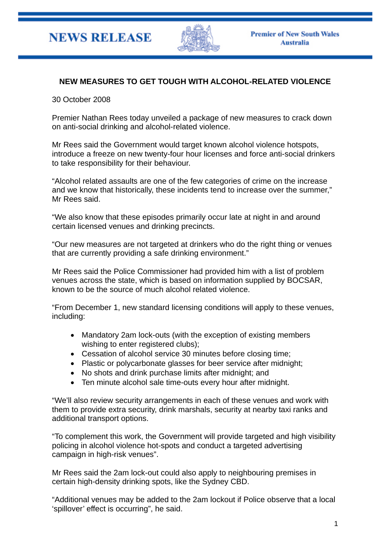

## **NEW MEASURES TO GET TOUGH WITH ALCOHOL-RELATED VIOLENCE**

30 October 2008

Premier Nathan Rees today unveiled a package of new measures to crack down on anti-social drinking and alcohol-related violence.

Mr Rees said the Government would target known alcohol violence hotspots, introduce a freeze on new twenty-four hour licenses and force anti-social drinkers to take responsibility for their behaviour.

"Alcohol related assaults are one of the few categories of crime on the increase and we know that historically, these incidents tend to increase over the summer," Mr Rees said.

"We also know that these episodes primarily occur late at night in and around certain licensed venues and drinking precincts.

"Our new measures are not targeted at drinkers who do the right thing or venues that are currently providing a safe drinking environment."

Mr Rees said the Police Commissioner had provided him with a list of problem venues across the state, which is based on information supplied by BOCSAR, known to be the source of much alcohol related violence.

"From December 1, new standard licensing conditions will apply to these venues, including:

- Mandatory 2am lock-outs (with the exception of existing members wishing to enter registered clubs);
- Cessation of alcohol service 30 minutes before closing time;
- Plastic or polycarbonate glasses for beer service after midnight;
- No shots and drink purchase limits after midnight; and
- Ten minute alcohol sale time-outs every hour after midnight.

"We'll also review security arrangements in each of these venues and work with them to provide extra security, drink marshals, security at nearby taxi ranks and additional transport options.

"To complement this work, the Government will provide targeted and high visibility policing in alcohol violence hot-spots and conduct a targeted advertising campaign in high-risk venues".

Mr Rees said the 2am lock-out could also apply to neighbouring premises in certain high-density drinking spots, like the Sydney CBD.

"Additional venues may be added to the 2am lockout if Police observe that a local 'spillover' effect is occurring", he said.